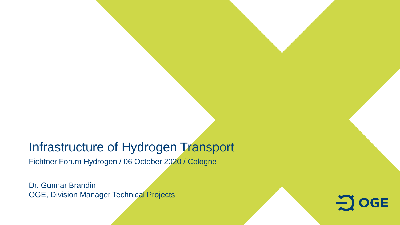### Infrastructure of Hydrogen Transport

Fichtner Forum Hydrogen / 06 October 2020 / Cologne

Dr. Gunnar Brandin OGE, Division Manager Technical Projects

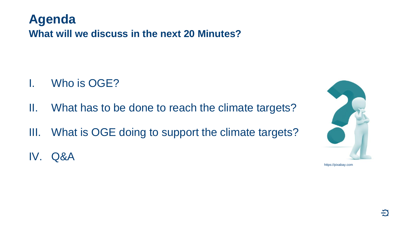**Agenda What will we discuss in the next 20 Minutes?**

- Who is OGE?
- II. What has to be done to reach the climate targets?
- III. What is OGE doing to support the climate targets?
- IV. Q&A



https://pixabay.com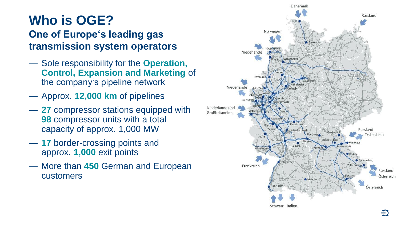## **Who is OGE?**

#### **One of Europe's leading gas transmission system operators**

- Sole responsibility for the **Operation, Control, Expansion and Marketing** of the company's pipeline network
- Approx. **12,000 km** of pipelines
- **27** compressor stations equipped with **98** compressor units with a total capacity of approx. 1,000 MW
- **17** border-crossing points and approx. **1,000** exit points
- More than **450** German and European customers

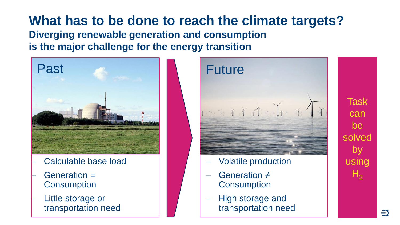## **What has to be done to reach the climate targets?**

**Diverging renewable generation and consumption is the major challenge for the energy transition**



- Calculable base load
- − Generation = **Consumption**
- Little storage or transportation need



- − Volatile production
- − Generation ≠ **Consumption**
- − High storage and transportation need

using  $H<sub>2</sub>$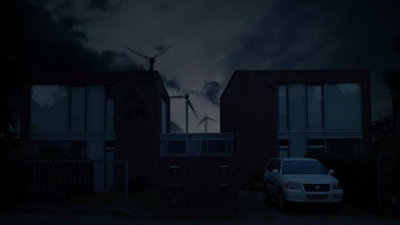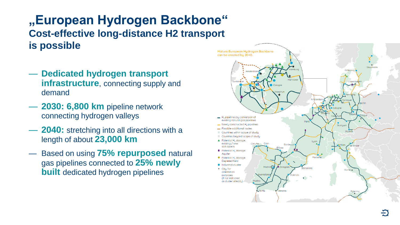#### **"European Hydrogen Backbone" Cost-effective long-distance H2 transport is possible**

- **Dedicated hydrogen transport infrastructure**, connecting supply and demand
- **2030: 6,800 km** pipeline network connecting hydrogen valleys
- 2040: stretching into all directions with a length of about **23,000 km**
- Based on using **75% repurposed** natural gas pipelines connected to **25% newly built** dedicated hydrogen pipelines

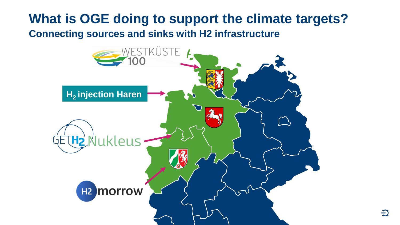#### **What is OGE doing to support the climate targets? Connecting sources and sinks with H2 infrastructure**

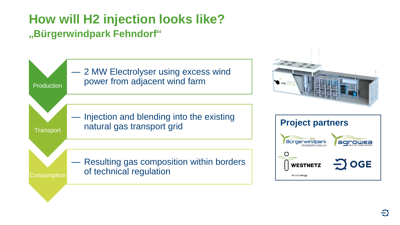### **How will H2 injection looks like? "Bürgerwindpark Fehndorf"**

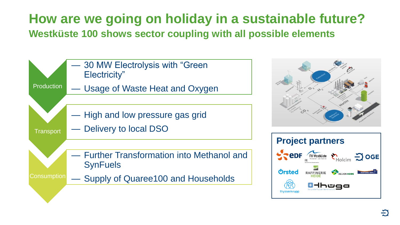## **How are we going on holiday in a sustainable future? Westküste 100 shows sector coupling with all possible elements**

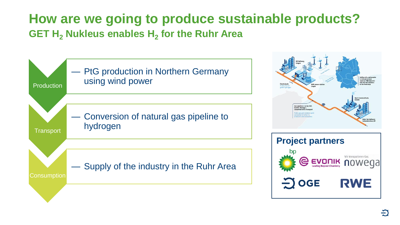## **How are we going to produce sustainable products? GET H<sup>2</sup> Nukleus enables H<sup>2</sup> for the Ruhr Area**



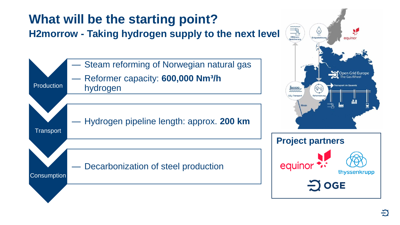# **What will be the starting point?**

**H2morrow - Taking hydrogen supply to the next level**



 $\begin{array}{c}\n\overrightarrow{p} \\
\hline\n\overrightarrow{q} \\
\hline\n\overrightarrow{p} \\
\hline\n\overrightarrow{p} \\
\overrightarrow{p} \\
\overrightarrow{p} \\
\overrightarrow{p} \\
\overrightarrow{p} \\
\overrightarrow{p} \\
\overrightarrow{p} \\
\overrightarrow{p} \\
\overrightarrow{p} \\
\overrightarrow{p} \\
\overrightarrow{p} \\
\overrightarrow{p} \\
\overrightarrow{p} \\
\overrightarrow{p} \\
\overrightarrow{p} \\
\overrightarrow{p} \\
\overrightarrow{p} \\
\overrightarrow{p} \\
\overrightarrow{p} \\
\overrightarrow{p} \\
\overrightarrow{p} \\
\overrightarrow{p} \\
\overrightarrow{p} \\
\overrightarrow{p} \\
\overrightarrow{p} \\
\overrightarrow{$ 

 $\omega$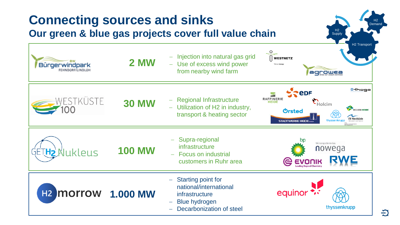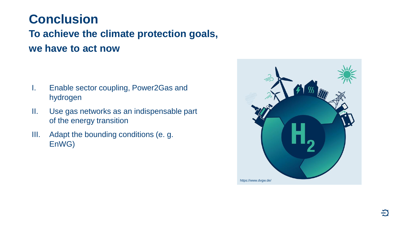# **Conclusion**

#### **To achieve the climate protection goals, we have to act now**

- I. Enable sector coupling, Power2Gas and hydrogen
- II. Use gas networks as an indispensable part of the energy transition
- III. Adapt the bounding conditions (e. g. EnWG)